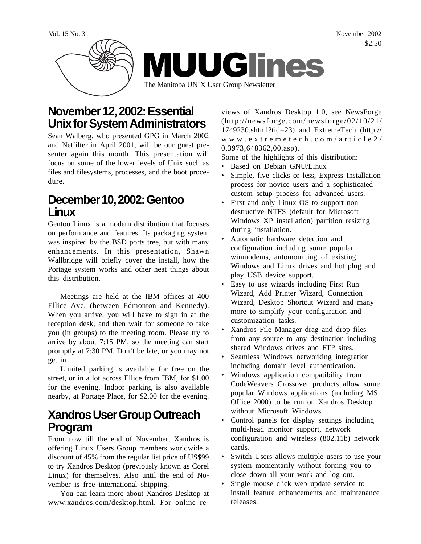Vol. 15 No. 3 November 2002 \$2.50



## **November 12, 2002: Essential Unix for System Administrators**

Sean Walberg, who presented GPG in March 2002 and Netfilter in April 2001, will be our guest presenter again this month. This presentation will focus on some of the lower levels of Unix such as files and filesystems, processes, and the boot procedure.

### **December 10, 2002: Gentoo Linux**

Gentoo Linux is a modern distribution that focuses on performance and features. Its packaging system was inspired by the BSD ports tree, but with many enhancements. In this presentation, Shawn Wallbridge will briefly cover the install, how the Portage system works and other neat things about this distribution.

Meetings are held at the IBM offices at 400 Ellice Ave. (between Edmonton and Kennedy). When you arrive, you will have to sign in at the reception desk, and then wait for someone to take you (in groups) to the meeting room. Please try to arrive by about 7:15 PM, so the meeting can start promptly at 7:30 PM. Don't be late, or you may not get in.

Limited parking is available for free on the street, or in a lot across Ellice from IBM, for \$1.00 for the evening. Indoor parking is also available nearby, at Portage Place, for \$2.00 for the evening.

### **Xandros User Group Outreach Program**

From now till the end of November, Xandros is offering Linux Users Group members worldwide a discount of 45% from the regular list price of US\$99 to try Xandros Desktop (previously known as Corel Linux) for themselves. Also until the end of November is free international shipping.

You can learn more about Xandros Desktop at www.xandros.com/desktop.html. For online re-

views of Xandros Desktop 1.0, see NewsForge (http://newsforge.com/newsforge/02/10/21/ 1749230.shtml?tid=23) and ExtremeTech (http:// www.extremetech.com/article2/ 0,3973,648362,00.asp).

Some of the highlights of this distribution:

- Based on Debian GNU/Linux
- Simple, five clicks or less, Express Installation process for novice users and a sophisticated custom setup process for advanced users.
- First and only Linux OS to support non destructive NTFS (default for Microsoft Windows XP installation) partition resizing during installation.
- Automatic hardware detection and configuration including some popular winmodems, automounting of existing Windows and Linux drives and hot plug and play USB device support.
- Easy to use wizards including First Run Wizard, Add Printer Wizard, Connection Wizard, Desktop Shortcut Wizard and many more to simplify your configuration and customization tasks.
- Xandros File Manager drag and drop files from any source to any destination including shared Windows drives and FTP sites.
- Seamless Windows networking integration including domain level authentication.
- Windows application compatibility from CodeWeavers Crossover products allow some popular Windows applications (including MS Office 2000) to be run on Xandros Desktop without Microsoft Windows.
- Control panels for display settings including multi-head monitor support, network configuration and wireless (802.11b) network cards.
- Switch Users allows multiple users to use your system momentarily without forcing you to close down all your work and log out.
- Single mouse click web update service to install feature enhancements and maintenance releases.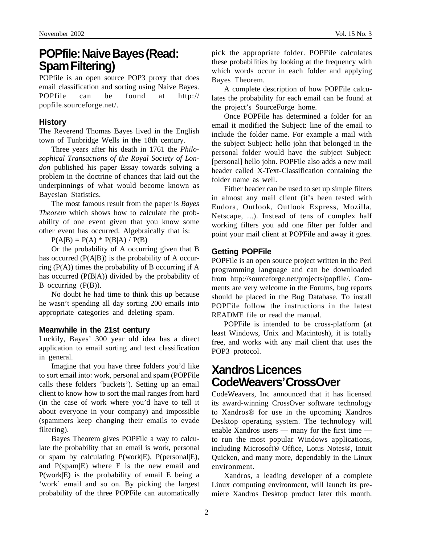## **POPfile: Naive Bayes (Read: Spam Filtering)**

POPfile is an open source POP3 proxy that does email classification and sorting using Naive Bayes. POPfile can be found at http:// popfile.sourceforge.net/.

#### **History**

The Reverend Thomas Bayes lived in the English town of Tunbridge Wells in the 18th century.

Three years after his death in 1761 the *Philosophical Transactions of the Royal Society of London* published his paper Essay towards solving a problem in the doctrine of chances that laid out the underpinnings of what would become known as Bayesian Statistics.

The most famous result from the paper is *Bayes Theorem* which shows how to calculate the probability of one event given that you know some other event has occurred. Algebraically that is:

 $P(A|B) = P(A) * P(B|A) / P(B)$ 

Or the probability of A occurring given that B has occurred  $(P(A|B))$  is the probability of A occurring  $(P(A))$  times the probability of B occurring if A has occurred (P(B|A)) divided by the probability of B occurring (P(B)).

No doubt he had time to think this up because he wasn't spending all day sorting 200 emails into appropriate categories and deleting spam.

#### **Meanwhile in the 21st century**

Luckily, Bayes' 300 year old idea has a direct application to email sorting and text classification in general.

Imagine that you have three folders you'd like to sort email into: work, personal and spam (POPFile calls these folders 'buckets'). Setting up an email client to know how to sort the mail ranges from hard (in the case of work where you'd have to tell it about everyone in your company) and impossible (spammers keep changing their emails to evade filtering).

Bayes Theorem gives POPFile a way to calculate the probability that an email is work, personal or spam by calculating  $P(work|E)$ ,  $P(personal|E)$ , and P(spam|E) where E is the new email and P(work|E) is the probability of email E being a 'work' email and so on. By picking the largest probability of the three POPFile can automatically pick the appropriate folder. POPFile calculates these probabilities by looking at the frequency with which words occur in each folder and applying Bayes Theorem.

A complete description of how POPFile calculates the probability for each email can be found at the project's SourceForge home.

Once POPFile has determined a folder for an email it modified the Subject: line of the email to include the folder name. For example a mail with the subject Subject: hello john that belonged in the personal folder would have the subject Subject: [personal] hello john. POPFile also adds a new mail header called X-Text-Classification containing the folder name as well.

Either header can be used to set up simple filters in almost any mail client (it's been tested with Eudora, Outlook, Outlook Express, Mozilla, Netscape, ...). Instead of tens of complex half working filters you add one filter per folder and point your mail client at POPFile and away it goes.

#### **Getting POPFile**

POPFile is an open source project written in the Perl programming language and can be downloaded from http://sourceforge.net/projects/popfile/. Comments are very welcome in the Forums, bug reports should be placed in the Bug Database. To install POPFile follow the instructions in the latest README file or read the manual.

POPFile is intended to be cross-platform (at least Windows, Unix and Macintosh), it is totally free, and works with any mail client that uses the POP3 protocol.

## **Xandros Licences CodeWeavers' CrossOver**

CodeWeavers, Inc announced that it has licensed its award-winning CrossOver software technology to Xandros® for use in the upcoming Xandros Desktop operating system. The technology will enable Xandros users — many for the first time to run the most popular Windows applications, including Microsoft® Office, Lotus Notes®, Intuit Quicken, and many more, dependably in the Linux environment.

Xandros, a leading developer of a complete Linux computing environment, will launch its premiere Xandros Desktop product later this month.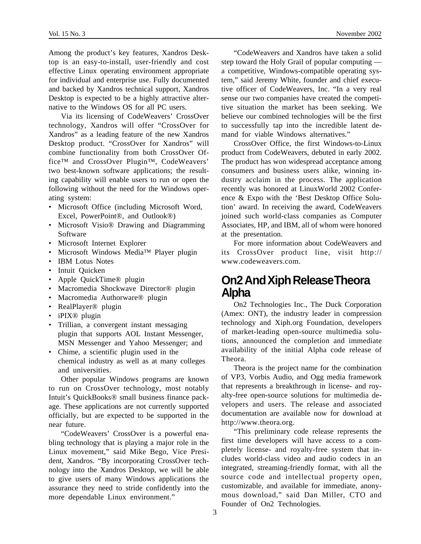Among the product's key features, Xandros Desktop is an easy-to-install, user-friendly and cost effective Linux operating environment appropriate for individual and enterprise use. Fully documented and backed by Xandros technical support, Xandros Desktop is expected to be a highly attractive alternative to the Windows OS for all PC users.

Via its licensing of CodeWeavers' CrossOver technology, Xandros will offer "CrossOver for Xandros" as a leading feature of the new Xandros Desktop product. "CrossOver for Xandros" will combine functionality from both CrossOver Office™ and CrossOver Plugin™, CodeWeavers' two best-known software applications; the resulting capability will enable users to run or open the following without the need for the Windows operating system:

- Microsoft Office (including Microsoft Word, Excel, PowerPoint®, and Outlook®)
- Microsoft Visio® Drawing and Diagramming Software
- Microsoft Internet Explorer
- Microsoft Windows Media™ Player plugin
- **IBM** Lotus Notes
- Intuit Quicken
- Apple QuickTime® plugin
- Macromedia Shockwave Director® plugin
- Macromedia Authorware® plugin
- RealPlayer® plugin
- iPIX<sup>®</sup> plugin
- Trillian, a convergent instant messaging plugin that supports AOL Instant Messenger, MSN Messenger and Yahoo Messenger; and
- Chime, a scientific plugin used in the chemical industry as well as at many colleges and universities.

Other popular Windows programs are known to run on CrossOver technology, most notably Intuit's QuickBooks® small business finance package. These applications are not currently supported officially, but are expected to be supported in the near future.

"CodeWeavers' CrossOver is a powerful enabling technology that is playing a major role in the Linux movement," said Mike Bego, Vice President, Xandros. "By incorporating CrossOver technology into the Xandros Desktop, we will be able to give users of many Windows applications the assurance they need to stride confidently into the more dependable Linux environment."

"CodeWeavers and Xandros have taken a solid step toward the Holy Grail of popular computing a competitive, Windows-compatible operating system," said Jeremy White, founder and chief executive officer of CodeWeavers, Inc. "In a very real sense our two companies have created the competitive situation the market has been seeking. We believe our combined technologies will be the first to successfully tap into the incredible latent demand for viable Windows alternatives."

CrossOver Office, the first Windows-to-Linux product from CodeWeavers, debuted in early 2002. The product has won widespread acceptance among consumers and business users alike, winning industry acclaim in the process. The application recently was honored at LinuxWorld 2002 Conference & Expo with the 'Best Desktop Office Solution' award. In receiving the award, CodeWeavers joined such world-class companies as Computer Associates, HP, and IBM, all of whom were honored at the presentation.

For more information about CodeWeavers and its CrossOver product line, visit http:// www.codeweavers.com.

### **On2 And Xiph Release Theora Alpha**

On2 Technologies Inc., The Duck Corporation (Amex: ONT), the industry leader in compression technology and Xiph.org Foundation, developers of market-leading open-source multimedia solutions, announced the completion and immediate availability of the initial Alpha code release of Theora.

Theora is the project name for the combination of VP3, Vorbis Audio, and Ogg media framework that represents a breakthrough in license- and royalty-free open-source solutions for multimedia developers and users. The release and associated documentation are available now for download at http://www.theora.org.

"This preliminary code release represents the first time developers will have access to a completely license- and royalty-free system that includes world-class video and audio codecs in an integrated, streaming-friendly format, with all the source code and intellectual property open, customizable, and available for immediate, anonymous download," said Dan Miller, CTO and Founder of On2 Technologies.